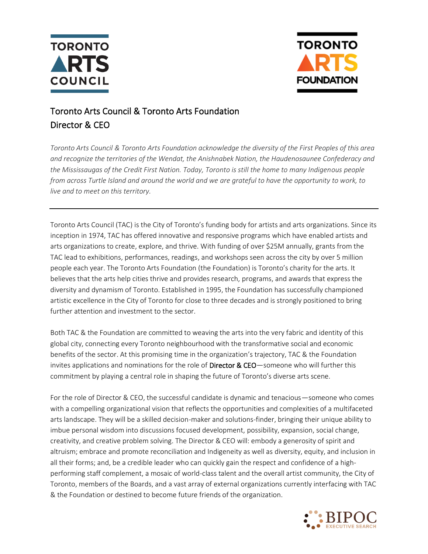



## Toronto Arts Council & Toronto Arts Foundation Director & CEO

*Toronto Arts Council & Toronto Arts Foundation acknowledge the diversity of the First Peoples of this area and recognize the territories of the Wendat, the Anishnabek Nation, the Haudenosaunee Confederacy and the Mississaugas of the Credit First Nation. Today, Toronto is still the home to many Indigenous people from across Turtle Island and around the world and we are grateful to have the opportunity to work, to live and to meet on this territory.*

Toronto Arts Council (TAC) is the City of Toronto's funding body for artists and arts organizations. Since its inception in 1974, TAC has offered innovative and responsive programs which have enabled artists and arts organizations to create, explore, and thrive. With funding of over \$25M annually, grants from the TAC lead to exhibitions, performances, readings, and workshops seen across the city by over 5 million people each year. The Toronto Arts Foundation (the Foundation) is Toronto's charity for the arts. It believes that the arts help cities thrive and provides research, programs, and awards that express the diversity and dynamism of Toronto. Established in 1995, the Foundation has successfully championed artistic excellence in the City of Toronto for close to three decades and is strongly positioned to bring further attention and investment to the sector.

Both TAC & the Foundation are committed to weaving the arts into the very fabric and identity of this global city, connecting every Toronto neighbourhood with the transformative social and economic benefits of the sector. At this promising time in the organization's trajectory, TAC & the Foundation invites applications and nominations for the role of Director & CEO—someone who will further this commitment by playing a central role in shaping the future of Toronto's diverse arts scene.

For the role of Director & CEO, the successful candidate is dynamic and tenacious—someone who comes with a compelling organizational vision that reflects the opportunities and complexities of a multifaceted arts landscape. They will be a skilled decision-maker and solutions-finder, bringing their unique ability to imbue personal wisdom into discussions focused development, possibility, expansion, social change, creativity, and creative problem solving. The Director & CEO will: embody a generosity of spirit and altruism; embrace and promote reconciliation and Indigeneity as well as diversity, equity, and inclusion in all their forms; and, be a credible leader who can quickly gain the respect and confidence of a highperforming staff complement, a mosaic of world-class talent and the overall artist community, the City of Toronto, members of the Boards, and a vast array of external organizations currently interfacing with TAC & the Foundation or destined to become future friends of the organization.